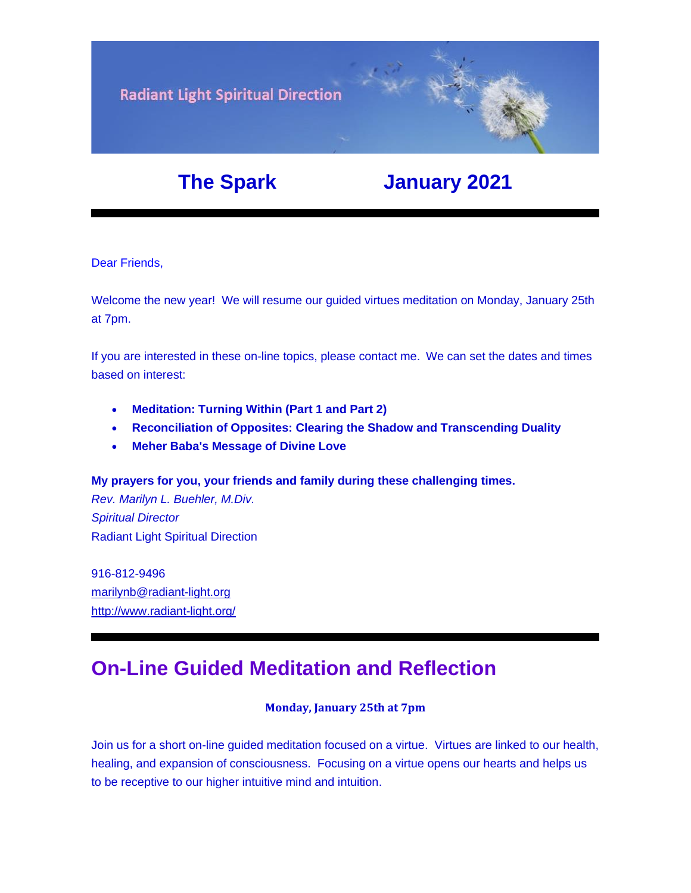

# **The Spark January 2021**

Dear Friends,

Welcome the new year! We will resume our guided virtues meditation on Monday, January 25th at 7pm.

If you are interested in these on-line topics, please contact me. We can set the dates and times based on interest:

- **Meditation: Turning Within (Part 1 and Part 2)**
- **[Reconciliation of Opposites: Clearing the Shadow and Transcending Duality](https://u18544456.ct.sendgrid.net/ls/click?upn=YO6TcuTs2Xz6NlJVKcEQZiklIDFGo-2FRGaP7ZnccBbQBGusmZfNmfWP2-2F0bS7gDEvg7s-2FT-2FketP1vrwJqVOk03W8vVkbj2WqZ2HvU-2F4FbrkY-3DyOx7_FiQrYGg1YZElR924caalGEP3AHGeF79ulf5jxC9Fbcd8IfoR4p2-2FW0xZvJaX6Y3z75H0Yw3uGmHJTH3azVPJ5HTXrZ-2Ft5OVM5Vv31JFvUf3sl-2Bt2VvZL3mo9-2FDK3jGCpSPMH1gALS-2FXyPzjp4eRaYRGu2VbuMU-2FqBblhRhZbI-2Fi1Qivp54jj-2BdigAIlqu4HavECE9rHvZ7RM5Mewe4EywuUQMPGNSeDOHZEV3esVBKiXlT65CCDy9q8OjYElfKj-2B1E-2FbjiCVLUQ1G3ltVJodgFXfx2tKq5EGgYyZA9HMJvq86487dQ-2Bhiv9emO0wLkbsuMIyWuO-2FISGTjyJHZ0ygHdBky-2Bl1GS5QKVSDum2Nb0DEo4dNR35UH2AdE0CK1Yj-2F1Bek9aIwrf6D5B9GboKYntlvcIux3uTSTaFYm6Y7T5MLb8XDI8tzLTyBgTOMircy96aCoo-2BlVC2oEj4kb7KIZrReOB7Z5ytu5O2QW-2BuqQhpxGVsE3TWE07ceZy-2BQY-2Ff1aNmfOwsDQCl-2FArAgm1WXAVp4NF2M8QO6YuxEPLUdh82mPEppUZecdj-2Fy9iJD8L-2BGkCUmcHWCPGE1uxE4tpYhx-2FnGk-2Fts57-2Fg454D-2BrFWnPpvZdse1usLno9wo6bMZsSOxx1q0I1w5-2BGJLSrhhom7-2Bi5PsZkAFXrQN6vxAC-2FxqBD9Edk1tuOns6PAA-2BgysbWC1cYbW54xuW-2FBdfMgKRqpoFeDs4ePJGjixtwrIE-2BXOyH12QutssY2EC-2FlilRnHS47GkRnN8I6ZpowPfitcFfM9cv0ppUyW8bHvCcD4tm678VFXfwAt86bPT-2ByJChqN9tQ2hAi9diTxyoI-2BJX-2BWP9T82GGX1cx9UkBOOHLgBso4jo-3D)**
- **Meher Baba's Message of Divine Love**

**My prayers for you, your friends and family during these challenging times.**

*Rev. Marilyn L. Buehler, M.Div. Spiritual Director* Radiant Light Spiritual Direction

916-812-9496 [marilynb@radiant-light.org](mailto:marilynb@radiant-light.org) [http://www.radiant-light.org/](https://u18544456.ct.sendgrid.net/ls/click?upn=R-2Bl7NGDLiuME3v4KUDXT9h2qnOPi-2Bv0NUDPOAvqgwbSGaV-2BAb3Xm4aVOKtH6HhU9m-2FTXOQwSXWi82XNXQXmW0Ybjzw6tS-2BT4DLdUHTzXugFWK15x1FY1bK6oAs60zDHagGm5_FiQrYGg1YZElR924caalGEP3AHGeF79ulf5jxC9Fbcd8IfoR4p2-2FW0xZvJaX6Y3z75H0Yw3uGmHJTH3azVPJ5HTXrZ-2Ft5OVM5Vv31JFvUf3sl-2Bt2VvZL3mo9-2FDK3jGCpSPMH1gALS-2FXyPzjp4eRaYRGu2VbuMU-2FqBblhRhZbI-2Fi1Qivp54jj-2BdigAIlqu4HavECE9rHvZ7RM5Mewe4EywuUQMPGNSeDOHZEV3esVBKiXlT65CCDy9q8OjYElfKj-2B1E-2FbjiCVLUQ1G3ltVJodgFXfx2tKq5EGgYyZA9HMJvq86487dQ-2Bhiv9emO0wLkbsuMIyWuO-2FISGTjyJHZ0ygHdBky-2Bl1GS5QKVSDum2Nb0DEo4dNR35UH2AdE0CK1Yj-2F1Bek9aIwrf6D5B9GboKYntlvcIux3uTSTaFYm6Y7T5MLb8XDI8tzLTyBgTOMircy96aCoo-2BlVC2oEj4kb7KIZrReOB7Z5ytu5O2QW-2BuqQhpxGVsE3TWE07ceZy-2BQY-2Ff1aNmfOwsDQCl-2FArAgm1WXAVp4NF2M8QO6YuxEPLUdh82mPEppUZecdj-2Fy9iJD8L-2BGkCUmcHWCPGE1uxE4tpYhx-2FnGk-2Fts57-2Fg454D-2BrFWnPpvZdse1usLno9wo6bMZsSOxx1q0I1w5-2BGJLSrhhom7-2Bi5PsZkAFXrQN6vxAC-2FxqBD9Edk1tuOns6PAA-2BgysbWCsrx7gV3Y5EJOmdVR6gZ0i5iKluKCZKDCv-2Ba05smlc8Iy-2BkZzXI6zuT2lXIa3bYfi-2B-2BtzrGQjKKTYAzwJ6fb5i-2Fie0eLDjskMnWmlakJvB38d4v-2B7nYJ-2BA4s82lA7uB89NAkn1vMnULhdvoa2GZWbm8uEPx-2F2nyRcBx-2BBybxFPcU-3D)

## **On-Line Guided Meditation and Reflection**

### **Monday, January 25th at 7pm**

Join us for a short on-line guided meditation focused on a virtue. Virtues are linked to our health, healing, and expansion of consciousness. Focusing on a virtue opens our hearts and helps us to be receptive to our higher intuitive mind and intuition.